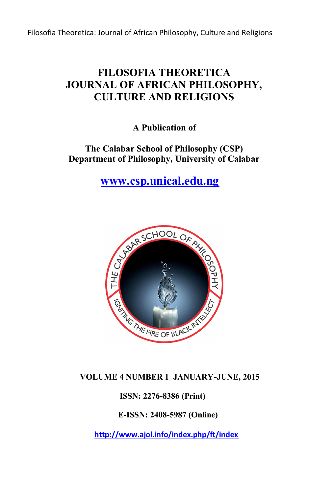# **FILOSOFIA THEORETICA JOURNAL OF AFRICAN PHILOSOPHY, CULTURE AND RELIGIONS**

**A Publication of**

# **The Calabar School of Philosophy (CSP) Department of Philosophy, University of Calabar**

 **www.csp.unical.edu.ng**



## **VOLUME 4 NUMBER 1 JANUARY-JUNE, 2015**

 **ISSN: 2276-8386 (Print)**

 **E-ISSN: 2408-5987 (Online)**

 **http://www.ajol.info/index.php/ft/index**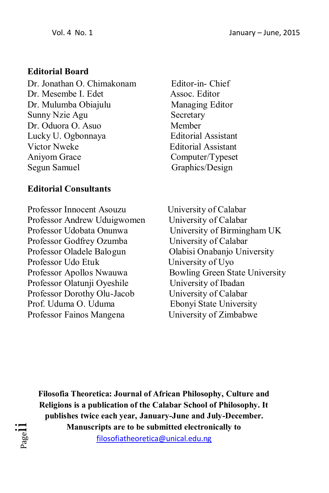Dr. Jonathan O. Chimakonam Editor-in- Chief Dr. Mesembe I. Edet Assoc. Editor Dr. Mulumba Obiajulu Managing Editor Sunny Nzie Agu Secretary Dr. Oduora O. Asuo Member Lucky U. Ogbonnaya Editorial Assistant Victor Nweke Editorial Assistant Aniyom Grace Computer/Typeset Segun Samuel Graphics/Design

# **Editorial Consultants**

Editorial Board<br>
Dr. Jonathan O. C<br>
Dr. Mesembe I. E<br>
Dr. Mulumba Ob<br>
Sunny Nzie Agu<br>
Dr. Oduora O. As<br>
Lucky U. Ogbonn<br>
Victor Nweke<br>
Aniyom Grace<br>
Segun Samuel<br>
Editorial Consul<br>
Professor Innocer<br>
Professor Madrew<br>
Prof Professor Innocent Asouzu University of Calabar Professor Andrew Uduigwomen University of Calabar Professor Udobata Onunwa<br>
University of Birmingham UK Professor Godfrey Ozumba<br>
University of Calabar Professor Oladele Balogun Olabisi Onabanjo University Professor Udo Etuk University of Uyo Professor Olatunji Oyeshile University of Ibadan Professor Dorothy Olu-Jacob University of Calabar Prof. Uduma O. Uduma Ebonyi State University Professor Fainos Mangena University of Zimbabwe

Professor Apollos Nwauwa Bowling Green State University

**Filosofia Theoretica: Journal of African Philosophy, Culture and Religions is a publication of the Calabar School of Philosophy. It publishes twice each year, January-June and July-December. Manuscripts are to be submitted electronically to** filosofiatheoretica@unical.edu.ng

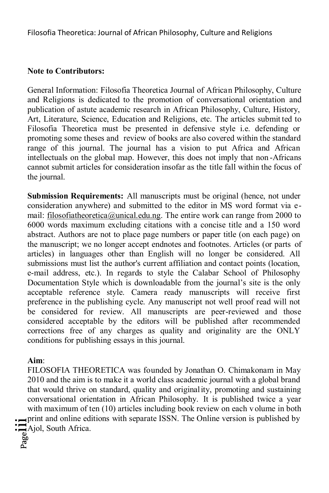General Information: Filosofia Theoretica Journal of African Philosophy, Culture and Religions is dedicated to the promotion of conversational orientation and publication of astute academic research in African Philosophy, Culture, History, Art, Literature, Science, Education and Religions, etc. The articles submit ted to Filosofia Theoretica must be presented in defensive style i.e. defending or promoting some theses and review of books are also covered within the standard range of this journal. The journal has a vision to put Africa and African intellectuals on the global map. However, this does not imply that non -Africans cannot submit articles for consideration insofar as the title fall within the focus of the journal.

Note to Contributors:<br>
General Information: F<br>
and Religions is dedic<br>
publication of astute a<br>
Art, Literature, Science<br>
Filosofia Theoretica r<br>
promoting some theses<br>
range of this journal.<br>
intellectuals on the glo<br>
can **Submission Requirements:** All manuscripts must be original (hence, not under consideration anywhere) and submitted to the editor in MS word format via email: filosofiatheoretica@unical.edu.ng. The entire work can range from 2000 to 6000 words maximum excluding citations with a concise title and a 150 word abstract. Authors are not to place page numbers or paper title (on each page) on the manuscript; we no longer accept endnotes and footnotes. Articles (or parts of articles) in languages other than English will no longer be considered. All submissions must list the author's current affiliation and contact points (location, e-mail address, etc.). In regards to style the Calabar School of Philosophy Documentation Style which is downloadable from the journal's site is the only acceptable reference style. Camera ready manuscripts will receive first preference in the publishing cycle. Any manuscript not well proof read will not be considered for review. All manuscripts are peer-reviewed and those considered acceptable by the editors will be published after recommended corrections free of any charges as quality and originality are the ONLY conditions for publishing essays in this journal.

#### **Aim**:

FILOSOFIA THEORETICA was founded by Jonathan O. Chimakonam in May 2010 and the aim is to make it a world class academic journal with a global brand that would thrive on standard, quality and originality, promoting and sustaining conversational orientation in African Philosophy. It is published twice a year with maximum of ten (10) articles including book review on each v olume in both print and online editions with separate ISSN. The Online version is published by Ajol, South Africa.

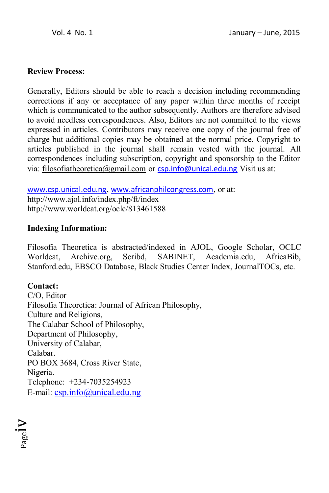## **Review Process:**

Generally, Editors should be able to reach a decision including recommending corrections if any or acceptance of any paper within three months of receipt which is communicated to the author subsequently. Authors are therefore advised to avoid needless correspondences. Also, Editors are not committed to the views expressed in articles. Contributors may receive one copy of the journal free of charge but additional copies may be obtained at the normal price. Copyright to articles published in the journal shall remain vested with the journal. All correspondences including subscription, copyright and sponsorship to the Editor via: filosofiatheoretica@gmail.com or csp.info@unical.edu.ng Visit us at:

www.csp.unical.edu.ng, www.africanphilcongress.com, or at: http://www.ajol.info/index.php/ft/index http://www.worldcat.org/oclc/813461588

## **Indexing Information:**

Filosofia Theoretica is abstracted/indexed in AJOL, Google Scholar, OCLC Worldcat, Archive.org, Scribd, SABINET, Academia.edu, AfricaBib, Stanford.edu, EBSCO Database, Black Studies Center Index, JournalTOCs, etc.

# **Contact:**

C/O, Editor Filosofia Theoretica: Journal of African Philosophy, Culture and Religions, The Calabar School of Philosophy, Department of Philosophy, University of Calabar, Calabar. PO BOX 3684, Cross River State, Nigeria. Telephone: +234-7035254923 E-mail:  $csp.info@$ unical.edu.ng

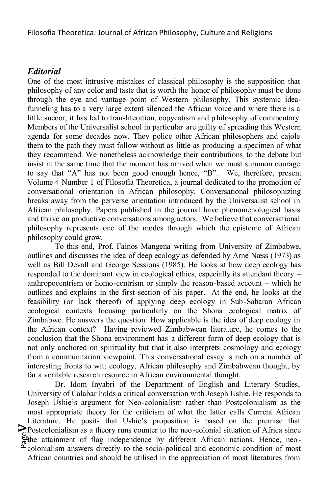## *Editorial*

One of the most intrusive mistakes of classical philosophy is the supposition that philosophy of any color and taste that is worth the honor of philosophy must be done through the eye and vantage point of Western philosophy. This systemic ideafunneling has to a very large extent silenced the African voice and where there is a little succor, it has led to transliteration, copycatism and p hilosophy of commentary. Members of the Universalist school in particular are guilty of spreading this Western agenda for some decades now. They police other African philosophers and cajole them to the path they must follow without as little as producing a specimen of what they recommend. We nonetheless acknowledge their contributions to the debate but insist at the same time that the moment has arrived when we must summon courage to say that "A" has not been good enough hence, "B". We, therefore, present Volume 4 Number 1 of Filosofia Theoretica, a journal dedicated to the promotion of conversational orientation in African philosophy. Conversational philosophizing breaks away from the perverse orientation introduced by the Universalist school in African philosophy. Papers published in the journal have phenomenological basis and thrive on productive conversations among actors. We believe that conversational philosophy represents one of the modes through which the episteme of African philosophy could grow.

To this end, Prof. Fainos Mangena writing from University of Zimbabwe, outlines and discusses the idea of deep ecology as defended by Arne Næss (1973) as well as Bill Devall and George Sessions (1985). He looks at how deep ecology has responded to the dominant view in ecological ethics, especially its attendant theory – anthropocentrism or homo-centrism or simply the reason-based account – which he outlines and explains in the first section of his paper. At the end, he looks at the feasibility (or lack thereof) of applying deep ecology in Sub-Saharan African ecological contexts focusing particularly on the Shona ecological matrix of Zimbabwe. He answers the question: How applicable is the idea of deep ecology in the African context? Having reviewed Zimbabwean literature, he comes to the conclusion that the Shona environment has a different form of deep ecology that is not only anchored on spirituality but that it also interprets cosmology and ecology from a communitarian viewpoint. This conversational essay is rich on a number of interesting fronts to wit; ecology, African philosophy and Zimbabwean thought, by far a veritable research resource in African environmental thought.

 $\mathbb{Z}$  colonialism answers directly to the socio-political and economic condition of most Postcolonialism as a theory runs counter to the neo-colonial situation of Africa since<br>the attainment of flag independence by different African pations. Hence, neo-Dr. Idom Inyabri of the Department of English and Literary Studies, University of Calabar holds a critical conversation with Joseph Ushie. He responds to Joseph Ushie's argument for Neo-colonialism rather than Postcolonialism as the most appropriate theory for the criticism of what the latter calls Current African Literature. He posits that Ushie's proposition is based on the premise that the attainment of flag independence by different African nations. Hence, neo - African countries and should be utilised in the appreciation of most literatures from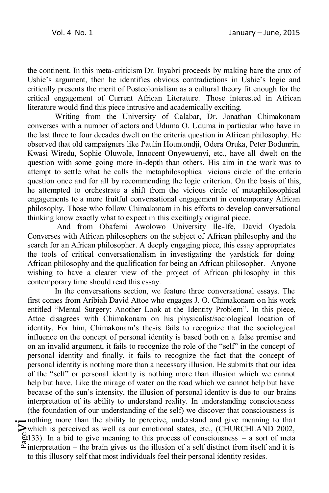Ushie's argument, then he identifies obvious contradictions in Ushie's logic and critically presents the merit of Postcolonialism as a cultural theory fit enough for the critical engagement of Current African Literature. Those interested in African literature would find this piece intrusive and academically exciting.

Writing from the University of Calabar, Dr. Jonathan Chimakonam converses with a number of actors and Uduma O. Uduma in particular who have in the last three to four decades dwelt on the criteria question in African philosophy. He observed that old campaigners like Paulin Hountondji, Odera Oruka, Peter Bodunrin, Kwasi Wiredu, Sophie Oluwole, Innocent Onyewuenyi, etc., have all dwelt on the question with some going more in-depth than others. His aim in the work was to attempt to settle what he calls the metaphilosophical vicious circle of the criteria question once and for all by recommending the logic criterion. On the basis of this, he attempted to orchestrate a shift from the vicious circle of metaphilosophical engagements to a more fruitful conversational engagement in contemporary African philosophy. Those who follow Chimakonam in his efforts to develop conversational thinking know exactly what to expect in this excitingly original piece.

And from Obafemi Awolowo University Ile-Ife, David Oyedola Converses with African philosophers on the subject of African philosophy and the search for an African philosopher. A deeply engaging piece, this essay appropriates the tools of critical conversationalism in investigating the yardstick for doing African philosophy and the qualification for being an African philosopher. Anyone wishing to have a clearer view of the project of African philosophy in this contemporary time should read this essay.

 $\mathbb{Z}$  interpretation – the brain gives us the illusion of a self distinct from itself and it is the continent. In this meta-criticism The Layakin proceeds by making bare the crux of criticisly presents the metric of bostomolations as a cultural theory fir enough for the critical engagement of Current African Literatu In the conversations section, we feature three conversational essays. The first comes from Aribiah David Attoe who engages J. O. Chimakonam on his work entitled "Mental Surgery: Another Look at the Identity Problem". In this piece, Attoe disagrees with Chimakonam on his physicalist/sociological location of identity. For him, Chimakonam's thesis fails to recognize that the sociological influence on the concept of personal identity is based both on a false premise and on an invalid argument, it fails to recognize the role of the "self" in the concept of personal identity and finally, it fails to recognize the fact that the concept of personal identity is nothing more than a necessary illusion. He submits that our idea of the "self" or personal identity is nothing more than illusion which we cannot help but have. Like the mirage of water on the road which we cannot help but have because of the sun's intensity, the illusion of personal identity is due to our brains interpretation of its ability to understand reality. In understanding consciousness (the foundation of our understanding of the self) we discover that consciousness is nothing more than the ability to perceive, understand and give meaning to that which is perceived as well as our emotional states, etc., (CHURCHLAND 2002,  $\frac{8}{20}$ 133). In a bid to give meaning to this process of consciousness – a sort of meta to this illusory self that most individuals feel their personal identity resides.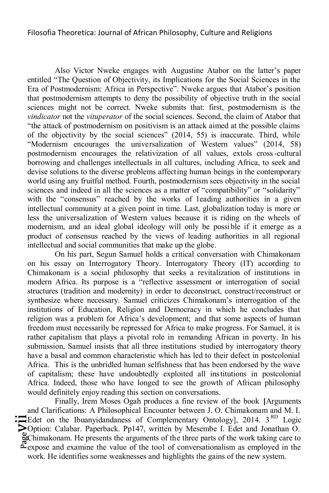Also Victor Nweke engages with Augustine Atabor on the latter's paper entitled "The Question of Objectivity, its Implications for the Social Sciences in the Era of Postmodernism: Africa in Perspective". Nweke argues that Atabor's position that postmodernism attempts to deny the possibility of objective truth in the social sciences might not be correct. Nweke submits that: first, postmodernism is the *vindicator* not the *vituperator* of the social sciences. Second, the claim of Atabor that "the attack of postmodernism on positivism is an attack aimed at the possible claims of the objectivity by the social sciences" (2014, 55) is inaccurate. Third, while "Modernism encourages the universalization of Western values" (2014, 58) postmodernism encourages the relativization of all values, extols cross-cultural borrowing and challenges intellectuals in all cultures, including Africa, to seek and devise solutions to the diverse problems affecting human beings in the contemporary world using any fruitful method. Fourth, postmodernism sees objectivity in the social sciences and indeed in all the sciences as a matter of "compatibility" or "solidarity" with the "consensus" reached by the works of leading authorities in a given intellectual community at a given point in time. Last, globalization today is more or less the universalization of Western values because it is riding on the wheels of modernism, and an ideal global ideology will only be possible if it emerge as a product of consensus reached by the views of leading authorities in all regional intellectual and social communities that make up the globe.

On his part, Segun Samuel holds a critical conversation with Chimakonam on his essay on Interrogatory Theory. Interrogatory Theory (IT) according to Chimakonam is a social philosophy that seeks a revitalization of institutions in modern Africa. Its purpose is a "reflective assessment or interrogation of social structures (tradition and modernity) in order to deconstruct, construct/reconstruct or synthesize where necessary. Samuel criticizes Chimakonam's interrogation of the institutions of Education, Religion and Democracy in which he concludes that religion was a problem for Africa's development; and that some aspects of human freedom must necessarily be repressed for Africa to make progress. For Samuel, it is rather capitalism that plays a pivotal role in remanding African in poverty. In his submission, Samuel insists that all three institutions studied by interrogatory theory have a basal and common characteristic which has led to their defect in postcolonial Africa. This is the unbridled human selfishness that has been endorsed by the wave of capitalism; these have undoubtedly exploited all institutions in postcolonial Africa. Indeed, those who have longed to see the growth of African philosophy would definitely enjoy reading this section on conversations.

P a expose and examine the value of the tool of conversationalism as employed in the  $\mathop{\rm seV}\limits_{\mathbb R}$ Finally, Irem Moses Ogah produces a fine review of the book **[**Arguments and Clarifications: A Philosophical Encounter between J. O. Chimakonam and M. I.  $\Xi$ Edet on the Ibuanyidandaness of Complementary Ontology], 2014.  $3^{RD}$  Logic Option: Calabar. Paperback. Pp147, written by Mesembe I. Edet and Jonathan O. Chimakonam. He presents the arguments of the three parts of the work taking care to work. He identifies some weaknesses and highlights the gains of the new system.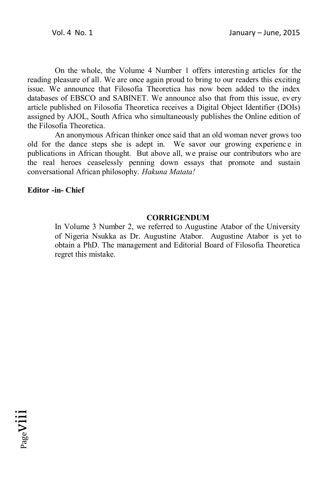On the whole, the Volume 4 Number 1 offers interesting articles for the reading pleasure of all. We are once again proud to bring to our readers this exciting issue. We announce that Filosofia Theoretica has now been added to the index databases of EBSCO and SABINET. We announce also that from this issue, ev ery article published on Filosofia Theoretica receives a Digital Object Identifier (DOIs) assigned by AJOL, South Africa who simultaneously publishes the Online edition of the Filosofia Theoretica.

An anonymous African thinker once said that an old woman never grows too old for the dance steps she is adept in. We savor our growing experienc e in publications in African thought. But above all, we praise our contributors who are the real heroes ceaselessly penning down essays that promote and sustain conversational African philosophy. *Hakuna Matata!*

#### **Editor -in- Chief**

#### **CORRIGENDUM**

In Volume 3 Number 2, we referred to Augustine Atabor of the University of Nigeria Nsukka as Dr. Augustine Atabor. Augustine Atabor is yet to obtain a PhD. The management and Editorial Board of Filosofia Theoretica regret this mistake.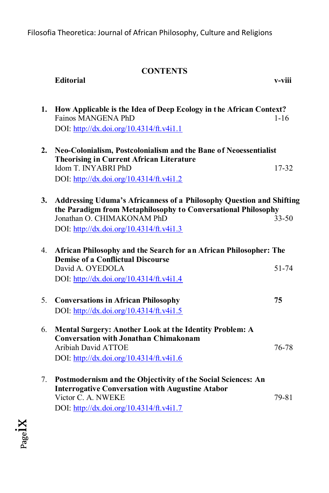## **CONTENTS Editorial v-viii**

|         | 1. How Applicable is the Idea of Deep Ecology in the African Context?<br><b>Fainos MANGENA PhD</b> | $1 - 16$  |  |
|---------|----------------------------------------------------------------------------------------------------|-----------|--|
|         |                                                                                                    |           |  |
|         | DOI: http://dx.doi.org/10.4314/ft.v4i1.1                                                           |           |  |
| 2.      | Neo-Colonialism, Postcolonialism and the Bane of Neoessentialist                                   |           |  |
|         | <b>Theorising in Current African Literature</b>                                                    |           |  |
|         | Idom T. INYABRI PhD                                                                                | 17-32     |  |
|         | DOI: http://dx.doi.org/10.4314/ft.v4i1.2                                                           |           |  |
|         |                                                                                                    |           |  |
| 3.      | Addressing Uduma's Africanness of a Philosophy Question and Shifting                               |           |  |
|         | the Paradigm from Metaphilosophy to Conversational Philosophy                                      |           |  |
|         | Jonathan O. CHIMAKONAM PhD                                                                         | $33 - 50$ |  |
|         | DOI: http://dx.doi.org/10.4314/ft.v4i1.3                                                           |           |  |
|         |                                                                                                    |           |  |
| 4.      | African Philosophy and the Search for an African Philosopher: The                                  |           |  |
|         | <b>Demise of a Conflictual Discourse</b>                                                           |           |  |
|         | David A. OYEDOLA                                                                                   | 51-74     |  |
|         | DOI: http://dx.doi.org/10.4314/ft.v4i1.4                                                           |           |  |
| $5_{-}$ | <b>Conversations in African Philosophy</b>                                                         | 75        |  |
|         | DOI: http://dx.doi.org/10.4314/ft.v4i1.5                                                           |           |  |
|         |                                                                                                    |           |  |
| 6.      | Mental Surgery: Another Look at the Identity Problem: A                                            |           |  |
|         | <b>Conversation with Jonathan Chimakonam</b>                                                       |           |  |
|         | <b>Aribiah David ATTOE</b>                                                                         | 76-78     |  |
|         | DOI: http://dx.doi.org/10.4314/ft.v4i1.6                                                           |           |  |
| 7.      | Postmodernism and the Objectivity of the Social Sciences: An                                       |           |  |
|         |                                                                                                    |           |  |
|         | <b>Interrogative Conversation with Augustine Atabor</b><br>Victor C. A. NWEKE                      | 79-81     |  |
|         |                                                                                                    |           |  |

DOI: http://dx.doi.org/10.4314/ft.v4i1.7

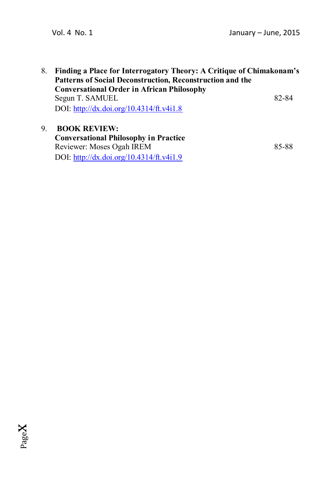| 8. | Finding a Place for Interrogatory Theory: A Critique of Chimakonam's<br>Patterns of Social Deconstruction, Reconstruction and the |       |
|----|-----------------------------------------------------------------------------------------------------------------------------------|-------|
|    | <b>Conversational Order in African Philosophy</b>                                                                                 |       |
|    | Segun T. SAMUEL                                                                                                                   | 82-84 |
|    | DOI: http://dx.doi.org/10.4314/ft.v4i1.8                                                                                          |       |
| 9  | <b>BOOK REVIEW:</b>                                                                                                               |       |
|    | <b>Conversational Philosophy in Practice</b>                                                                                      |       |
|    | Reviewer: Moses Ogah IREM                                                                                                         | 85-88 |

DOI: http://dx.doi.org/10.4314/ft.v4i1.9

 $_{\rm Page}$  ${\rm X}$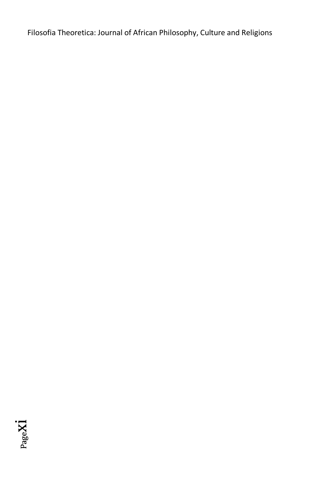